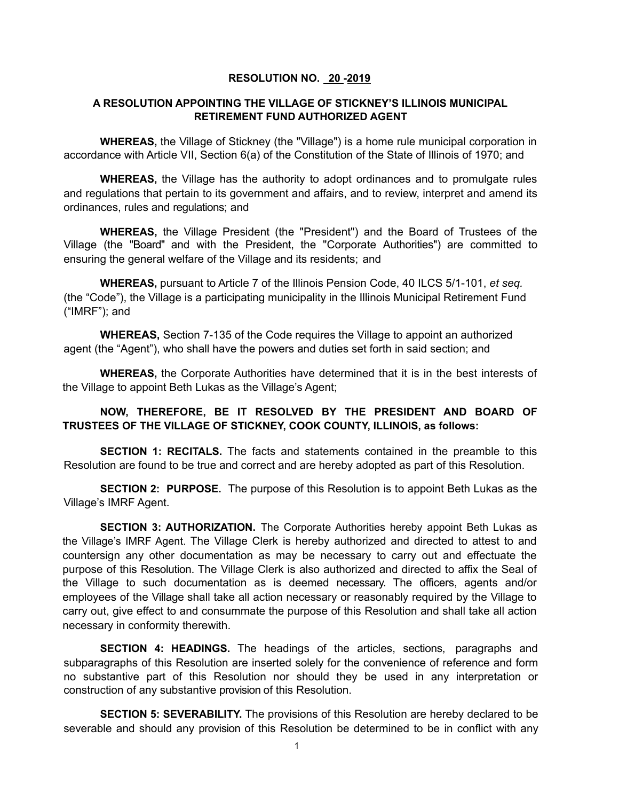## **RESOLUTION NO. 20 -2019**

## **A RESOLUTION APPOINTING THE VILLAGE OF STICKNEY'S ILLINOIS MUNICIPAL RETIREMENT FUND AUTHORIZED AGENT**

**WHEREAS,** the Village of Stickney (the "Village") is a home rule municipal corporation in accordance with Article VII, Section 6(a) of the Constitution of the State of Illinois of 1970; and

**WHEREAS,** the Village has the authority to adopt ordinances and to promulgate rules and regulations that pertain to its government and affairs, and to review, interpret and amend its ordinances, rules and regulations; and

**WHEREAS,** the Village President (the "President") and the Board of Trustees of the Village (the "Board" and with the President, the "Corporate Authorities") are committed to ensuring the general welfare of the Village and its residents; and

**WHEREAS,** pursuant to Article 7 of the Illinois Pension Code, 40 ILCS 5/1-101, *et seq.* (the "Code"), the Village is a participating municipality in the Illinois Municipal Retirement Fund ("IMRF"); and

**WHEREAS,** Section 7-135 of the Code requires the Village to appoint an authorized agent (the "Agent"), who shall have the powers and duties set forth in said section; and

**WHEREAS,** the Corporate Authorities have determined that it is in the best interests of the Village to appoint Beth Lukas as the Village's Agent;

## **NOW, THEREFORE, BE IT RESOLVED BY THE PRESIDENT AND BOARD OF TRUSTEES OF THE VILLAGE OF STICKNEY, COOK COUNTY, ILLINOIS, as follows:**

**SECTION 1: RECITALS.** The facts and statements contained in the preamble to this Resolution are found to be true and correct and are hereby adopted as part of this Resolution.

**SECTION 2: PURPOSE.** The purpose of this Resolution is to appoint Beth Lukas as the Village's IMRF Agent.

**SECTION 3: AUTHORIZATION.** The Corporate Authorities hereby appoint Beth Lukas as the Village's IMRF Agent. The Village Clerk is hereby authorized and directed to attest to and countersign any other documentation as may be necessary to carry out and effectuate the purpose of this Resolution. The Village Clerk is also authorized and directed to affix the Seal of the Village to such documentation as is deemed necessary. The officers, agents and/or employees of the Village shall take all action necessary or reasonably required by the Village to carry out, give effect to and consummate the purpose of this Resolution and shall take all action necessary in conformity therewith.

**SECTION 4: HEADINGS.** The headings of the articles, sections, paragraphs and subparagraphs of this Resolution are inserted solely for the convenience of reference and form no substantive part of this Resolution nor should they be used in any interpretation or construction of any substantive provision of this Resolution.

**SECTION 5: SEVERABILITY.** The provisions of this Resolution are hereby declared to be severable and should any provision of this Resolution be determined to be in conflict with any